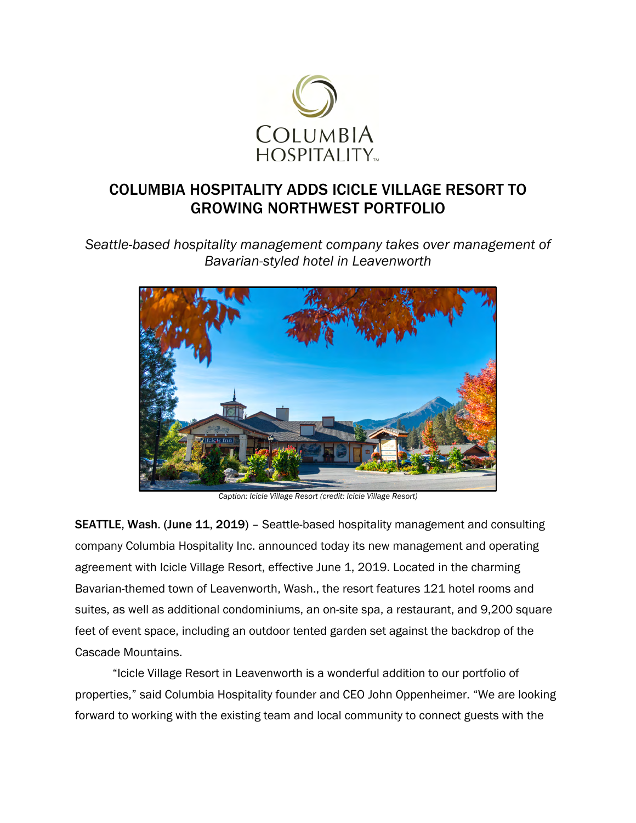

## COLUMBIA HOSPITALITY ADDS ICICLE VILLAGE RESORT TO GROWING NORTHWEST PORTFOLIO

*Seattle-based hospitality management company takes over management of Bavarian-styled hotel in Leavenworth* 



*Caption: Icicle Village Resort (credit: Icicle Village Resort)*

SEATTLE, Wash. (June 11, 2019) - Seattle-based hospitality management and consulting company Columbia Hospitality Inc. announced today its new management and operating agreement with Icicle Village Resort, effective June 1, 2019. Located in the charming Bavarian-themed town of Leavenworth, Wash., the resort features 121 hotel rooms and suites, as well as additional condominiums, an on-site spa, a restaurant, and 9,200 square feet of event space, including an outdoor tented garden set against the backdrop of the Cascade Mountains.

"Icicle Village Resort in Leavenworth is a wonderful addition to our portfolio of properties," said Columbia Hospitality founder and CEO John Oppenheimer. "We are looking forward to working with the existing team and local community to connect guests with the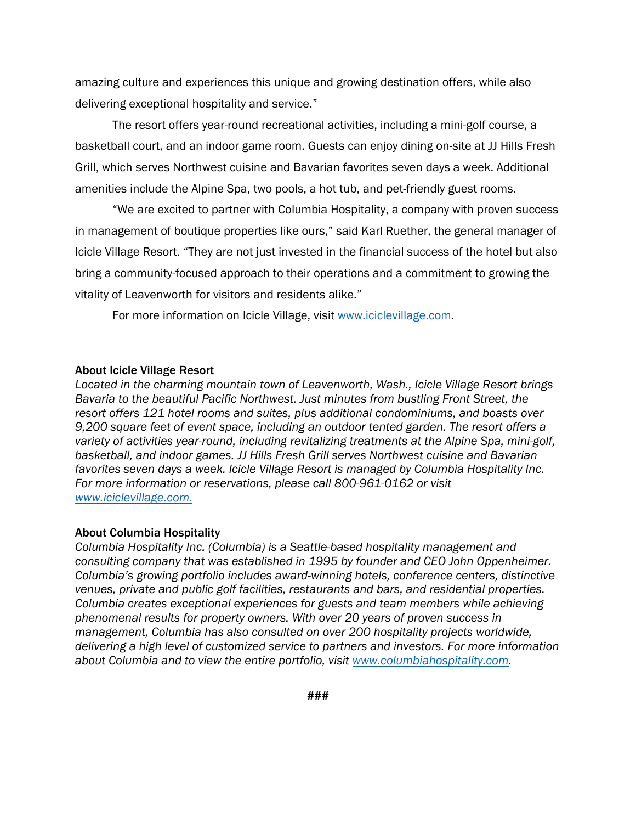amazing culture and experiences this unique and growing destination offers, while also delivering exceptional hospitality and service."

The resort offers year-round recreational activities, including a mini-golf course, a basketball court, and an indoor game room. Guests can enjoy dining on-site at JJ Hills Fresh Grill, which serves Northwest cuisine and Bavarian favorites seven days a week. Additional amenities include the Alpine Spa, two pools, a hot tub, and pet-friendly guest rooms.

"We are excited to partner with Columbia Hospitality, a company with proven success in management of boutique properties like ours," said Karl Ruether, the general manager of Icicle Village Resort. "They are not just invested in the financial success of the hotel but also bring a community-focused approach to their operations and a commitment to growing the vitality of Leavenworth for visitors and residents alike."

For more information on Icicle Village, visit www.iciclevillage.com.

## About Icicle Village Resort

*Located in the charming mountain town of Leavenworth, Wash., Icicle Village Resort brings Bavaria to the beautiful Pacific Northwest. Just minutes from bustling Front Street, the resort offers 121 hotel rooms and suites, plus additional condominiums, and boasts over 9,200 square feet of event space, including an outdoor tented garden. The resort offers a variety of activities year-round, including revitalizing treatments at the Alpine Spa, mini-golf, basketball, and indoor games. JJ Hills Fresh Grill serves Northwest cuisine and Bavarian favorites seven days a week. Icicle Village Resort is managed by Columbia Hospitality Inc. For more information or reservations, please call 800-961-0162 or visit www.iciclevillage.com.*

## About Columbia Hospitality

*Columbia Hospitality Inc. (Columbia) is a Seattle-based hospitality management and consulting company that was established in 1995 by founder and CEO John Oppenheimer. Columbia's growing portfolio includes award-winning hotels, conference centers, distinctive venues, private and public golf facilities, restaurants and bars, and residential properties. Columbia creates exceptional experiences for guests and team members while achieving phenomenal results for property owners. With over 20 years of proven success in management, Columbia has also consulted on over 200 hospitality projects worldwide, delivering a high level of customized service to partners and investors. For more information about Columbia and to view the entire portfolio, visit www.columbiahospitality.com.*